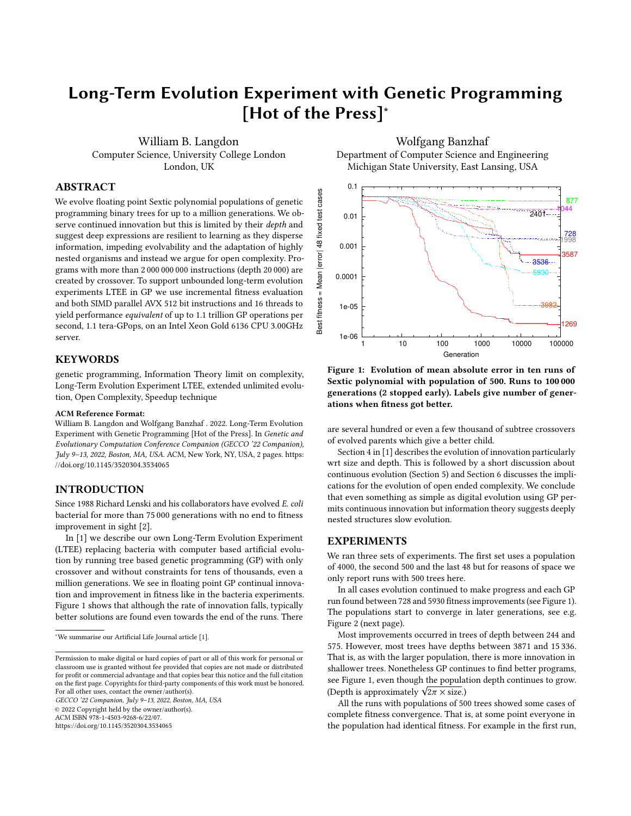# Long-Term Evolution Experiment with Genetic Programming [Hot of the Press]<sup>∗</sup>

[William B. Langdon](http://www.cs.ucl.ac.uk/staff/W.Langdon) Computer Science, University College London London, UK

# ABSTRACT

We evolve floating point Sextic polynomial populations of genetic programming binary trees for up to a million generations. We observe continued innovation but this is limited by their depth and suggest deep expressions are resilient to learning as they disperse information, impeding evolvability and the adaptation of highly nested organisms and instead we argue for open complexity. Programs with more than 2 000 000 000 instructions (depth 20 000) are created by crossover. To support unbounded long-term evolution experiments LTEE in GP we use incremental fitness evaluation and both SIMD parallel AVX 512 bit instructions and 16 threads to yield performance equivalent of up to 1.1 trillion GP operations per second, 1.1 tera-GPops, on an Intel Xeon Gold 6136 CPU 3.00GHz server.

# **KEYWORDS**

genetic programming, Information Theory limit on complexity, Long-Term Evolution Experiment LTEE, extended unlimited evolution, Open Complexity, Speedup technique

#### ACM Reference Format:

[William B. Langdon](http://www.cs.ucl.ac.uk/staff/W.Langdon) and [Wolfgang Banzhaf](http://www.cse.msu.edu/~banzhafw/) . 2022. Long-Term Evolution Experiment with Genetic Programming [Hot of the Press]. In Genetic and Evolutionary Computation Conference Companion (GECCO '22 Companion), July 9–13, 2022, Boston, MA, USA. ACM, New York, NY, USA, [2](#page-1-0) pages. [https:](https://doi.org/10.1145/3520304.3534065) [//doi.org/10.1145/3520304.3534065](https://doi.org/10.1145/3520304.3534065)

### INTRODUCTION

Since 1988 Richard Lenski and his collaborators have evolved E. coli bacterial for more than 75 000 generations with no end to fitness improvement in sight [\[2\]](#page-1-1).

In [\[1\]](#page-1-2) we describe our own Long-Term Evolution Experiment (LTEE) replacing bacteria with computer based artificial evolution by running tree based genetic programming (GP) with only crossover and without constraints for tens of thousands, even a million generations. We see in floating point GP continual innovation and improvement in fitness like in the bacteria experiments. Figure [1](#page-0-0) shows that although the rate of innovation falls, typically better solutions are found even towards the end of the runs. There

GECCO '22 Companion, July 9–13, 2022, Boston, MA, USA

© 2022 Copyright held by the owner/author(s).

ACM ISBN 978-1-4503-9268-6/22/07.

<https://doi.org/10.1145/3520304.3534065>

[Wolfgang Banzhaf](http://www.cse.msu.edu/~banzhafw/) Department of Computer Science and Engineering Michigan State University, East Lansing, USA

<span id="page-0-0"></span>

Figure 1: Evolution of mean absolute error in ten runs of Sextic polynomial with population of 500. Runs to 100 000 generations (2 stopped early). Labels give number of generations when fitness got better.

are several hundred or even a few thousand of subtree crossovers of evolved parents which give a better child.

Section 4 in [\[1\]](#page-1-2) describes the evolution of innovation particularly wrt size and depth. This is followed by a short discussion about continuous evolution (Section 5) and Section 6 discusses the implications for the evolution of open ended complexity. We conclude that even something as simple as digital evolution using GP permits continuous innovation but information theory suggests deeply nested structures slow evolution.

#### EXPERIMENTS

We ran three sets of experiments. The first set uses a population of 4000, the second 500 and the last 48 but for reasons of space we only report runs with 500 trees here.

In all cases evolution continued to make progress and each GP run found between 728 and 5930 fitness improvements (see Figure [1\)](#page-0-0). The populations start to converge in later generations, see e.g. Figure [2](#page-1-3) (next page).

Most improvements occurred in trees of depth between 244 and 575. However, most trees have depths between 3871 and 15 336. That is, as with the larger population, there is more innovation in shallower trees. Nonetheless GP continues to find better programs, see Figure [1,](#page-0-0) even though the population depth continues to grow. see rigure 1, even mough the popula<br>(Depth is approximately  $\sqrt{2\pi} \times \text{size}$ .)<br>All the runs with populations of 50

All the runs with populations of 500 trees showed some cases of complete fitness convergence. That is, at some point everyone in the population had identical fitness. For example in the first run,

<sup>∗</sup>We summarise our Artificial Life Journal article [\[1\]](#page-1-2).

Permission to make digital or hard copies of part or all of this work for personal or classroom use is granted without fee provided that copies are not made or distributed for profit or commercial advantage and that copies bear this notice and the full citation on the first page. Copyrights for third-party components of this work must be honored. For all other uses, contact the owner/author(s).